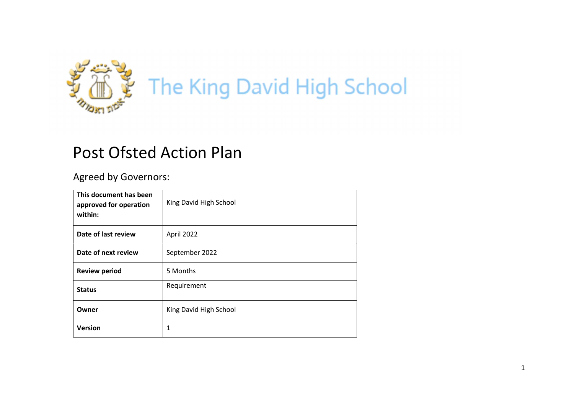

# Post Ofsted Action Plan

Agreed by Governors:

| This document has been<br>approved for operation<br>within: | King David High School |
|-------------------------------------------------------------|------------------------|
| Date of last review                                         | April 2022             |
| Date of next review                                         | September 2022         |
| <b>Review period</b>                                        | 5 Months               |
| <b>Status</b>                                               | Requirement            |
| Owner                                                       | King David High School |
| <b>Version</b>                                              | 1                      |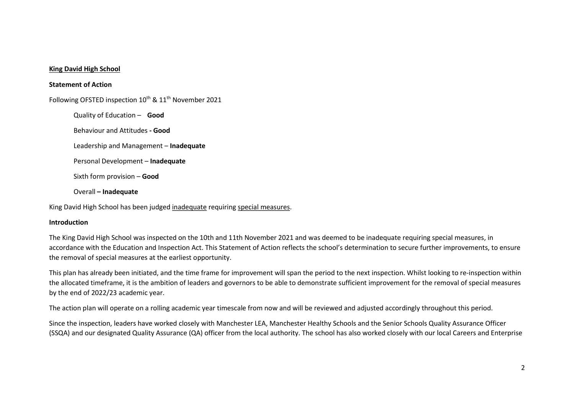#### King David High School

#### Statement of Action

Following OFSTED inspection 10<sup>th</sup> & 11<sup>th</sup> November 2021

Quality of Education – Good Behaviour and Attitudes - Good Leadership and Management - Inadequate Personal Development – Inadequate Sixth form provision – Good Overall – Inadequate

King David High School has been judged inadequate requiring special measures.

#### Introduction

The King David High School was inspected on the 10th and 11th November 2021 and was deemed to be inadequate requiring special measures, in accordance with the Education and Inspection Act. This Statement of Action reflects the school's determination to secure further improvements, to ensure the removal of special measures at the earliest opportunity.

This plan has already been initiated, and the time frame for improvement will span the period to the next inspection. Whilst looking to re-inspection within the allocated timeframe, it is the ambition of leaders and governors to be able to demonstrate sufficient improvement for the removal of special measures by the end of 2022/23 academic year.

The action plan will operate on a rolling academic year timescale from now and will be reviewed and adjusted accordingly throughout this period.

Since the inspection, leaders have worked closely with Manchester LEA, Manchester Healthy Schools and the Senior Schools Quality Assurance Officer (SSQA) and our designated Quality Assurance (QA) officer from the local authority. The school has also worked closely with our local Careers and Enterprise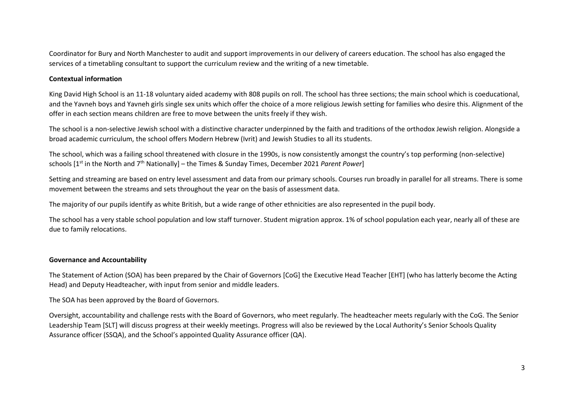Coordinator for Bury and North Manchester to audit and support improvements in our delivery of careers education. The school has also engaged the services of a timetabling consultant to support the curriculum review and the writing of a new timetable.

## Contextual information

King David High School is an 11-18 voluntary aided academy with 808 pupils on roll. The school has three sections; the main school which is coeducational, and the Yavneh boys and Yavneh girls single sex units which offer the choice of a more religious Jewish setting for families who desire this. Alignment of the offer in each section means children are free to move between the units freely if they wish.

The school is a non-selective Jewish school with a distinctive character underpinned by the faith and traditions of the orthodox Jewish religion. Alongside a broad academic curriculum, the school offers Modern Hebrew (Ivrit) and Jewish Studies to all its students.

The school, which was a failing school threatened with closure in the 1990s, is now consistently amongst the country's top performing (non-selective) schools [1<sup>st</sup> in the North and 7<sup>th</sup> Nationally] – the Times & Sunday Times, December 2021 Parent Power]

Setting and streaming are based on entry level assessment and data from our primary schools. Courses run broadly in parallel for all streams. There is some movement between the streams and sets throughout the year on the basis of assessment data.

The majority of our pupils identify as white British, but a wide range of other ethnicities are also represented in the pupil body.

The school has a very stable school population and low staff turnover. Student migration approx. 1% of school population each year, nearly all of these are due to family relocations.

### Governance and Accountability

The Statement of Action (SOA) has been prepared by the Chair of Governors [CoG] the Executive Head Teacher [EHT] (who has latterly become the Acting Head) and Deputy Headteacher, with input from senior and middle leaders.

The SOA has been approved by the Board of Governors.

Oversight, accountability and challenge rests with the Board of Governors, who meet regularly. The headteacher meets regularly with the CoG. The Senior Leadership Team [SLT] will discuss progress at their weekly meetings. Progress will also be reviewed by the Local Authority's Senior Schools Quality Assurance officer (SSQA), and the School's appointed Quality Assurance officer (QA).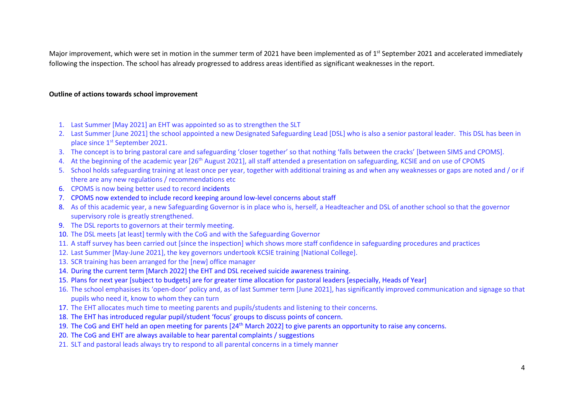Major improvement, which were set in motion in the summer term of 2021 have been implemented as of 1<sup>st</sup> September 2021 and accelerated immediately following the inspection. The school has already progressed to address areas identified as significant weaknesses in the report.

### Outline of actions towards school improvement

- 1. Last Summer [May 2021] an EHT was appointed so as to strengthen the SLT
- 2. Last Summer [June 2021] the school appointed a new Designated Safeguarding Lead [DSL] who is also a senior pastoral leader. This DSL has been in place since 1st September 2021.
- 3. The concept is to bring pastoral care and safeguarding 'closer together' so that nothing 'falls between the cracks' [between SIMS and CPOMS].
- 4. At the beginning of the academic year [26<sup>th</sup> August 2021], all staff attended a presentation on safeguarding, KCSIE and on use of CPOMS
- 5. School holds safeguarding training at least once per year, together with additional training as and when any weaknesses or gaps are noted and / or if there are any new regulations / recommendations etc
- 6. CPOMS is now being better used to record incidents
- 7. CPOMS now extended to include record keeping around low-level concerns about staff
- 8. As of this academic year, a new Safeguarding Governor is in place who is, herself, a Headteacher and DSL of another school so that the governor supervisory role is greatly strengthened.
- 9. The DSL reports to governors at their termly meeting.
- 10. The DSL meets [at least] termly with the CoG and with the Safeguarding Governor
- 11. A staff survey has been carried out [since the inspection] which shows more staff confidence in safeguarding procedures and practices
- 12. Last Summer [May-June 2021], the key governors undertook KCSIE training [National College].
- 13. SCR training has been arranged for the [new] office manager
- 14. During the current term [March 2022] the EHT and DSL received suicide awareness training.
- 15. Plans for next year [subject to budgets] are for greater time allocation for pastoral leaders [especially, Heads of Year]
- 16. The school emphasises its 'open-door' policy and, as of last Summer term [June 2021], has significantly improved communication and signage so that pupils who need it, know to whom they can turn
- 17. The EHT allocates much time to meeting parents and pupils/students and listening to their concerns.
- 18. The EHT has introduced regular pupil/student 'focus' groups to discuss points of concern.
- 19. The CoG and EHT held an open meeting for parents [24<sup>th</sup> March 2022] to give parents an opportunity to raise any concerns.
- 20. The CoG and EHT are always available to hear parental complaints / suggestions
- 21. SLT and pastoral leads always try to respond to all parental concerns in a timely manner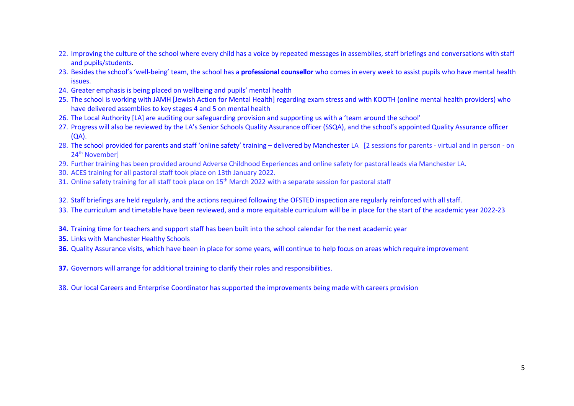- 22. Improving the culture of the school where every child has a voice by repeated messages in assemblies, staff briefings and conversations with staff and pupils/students.
- 23. Besides the school's 'well-being' team, the school has a **professional counsellor** who comes in every week to assist pupils who have mental health issues.
- 24. Greater emphasis is being placed on wellbeing and pupils' mental health
- 25. The school is working with JAMH [Jewish Action for Mental Health] regarding exam stress and with KOOTH (online mental health providers) who have delivered assemblies to key stages 4 and 5 on mental health
- 26. The Local Authority [LA] are auditing our safeguarding provision and supporting us with a 'team around the school'
- 27. Progress will also be reviewed by the LA's Senior Schools Quality Assurance officer (SSQA), and the school's appointed Quality Assurance officer  $(OA)$ .
- 28. The school provided for parents and staff 'online safety' training delivered by Manchester LA [2 sessions for parents virtual and in person on 24<sup>th</sup> November]
- 29. Further training has been provided around Adverse Childhood Experiences and online safety for pastoral leads via Manchester LA.
- 30. ACES training for all pastoral staff took place on 13th January 2022.
- 31. Online safety training for all staff took place on 15<sup>th</sup> March 2022 with a separate session for pastoral staff
- 32. Staff briefings are held regularly, and the actions required following the OFSTED inspection are regularly reinforced with all staff.
- 33. The curriculum and timetable have been reviewed, and a more equitable curriculum will be in place for the start of the academic year 2022-23
- 34. Training time for teachers and support staff has been built into the school calendar for the next academic vear
- 35. Links with Manchester Healthy Schools
- 36. Quality Assurance visits, which have been in place for some years, will continue to help focus on areas which require improvement
- 37. Governors will arrange for additional training to clarify their roles and responsibilities.
- 38. Our local Careers and Enterprise Coordinator has supported the improvements being made with careers provision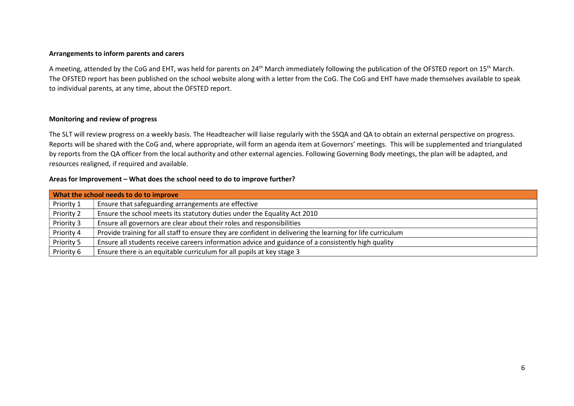#### Arrangements to inform parents and carers

A meeting, attended by the CoG and EHT, was held for parents on 24<sup>th</sup> March immediately following the publication of the OFSTED report on 15<sup>th</sup> March. The OFSTED report has been published on the school website along with a letter from the CoG. The CoG and EHT have made themselves available to speak to individual parents, at any time, about the OFSTED report.

## Monitoring and review of progress

The SLT will review progress on a weekly basis. The Headteacher will liaise regularly with the SSQA and QA to obtain an external perspective on progress. Reports will be shared with the CoG and, where appropriate, will form an agenda item at Governors' meetings. This will be supplemented and triangulated by reports from the QA officer from the local authority and other external agencies. Following Governing Body meetings, the plan will be adapted, and resources realigned, if required and available.

#### Areas for Improvement – What does the school need to do to improve further?

|            | What the school needs to do to improve                                                                     |  |  |  |  |
|------------|------------------------------------------------------------------------------------------------------------|--|--|--|--|
| Priority 1 | Ensure that safeguarding arrangements are effective                                                        |  |  |  |  |
| Priority 2 | Ensure the school meets its statutory duties under the Equality Act 2010                                   |  |  |  |  |
| Priority 3 | Ensure all governors are clear about their roles and responsibilities                                      |  |  |  |  |
| Priority 4 | Provide training for all staff to ensure they are confident in delivering the learning for life curriculum |  |  |  |  |
| Priority 5 | Ensure all students receive careers information advice and guidance of a consistently high quality         |  |  |  |  |
| Priority 6 | Ensure there is an equitable curriculum for all pupils at key stage 3                                      |  |  |  |  |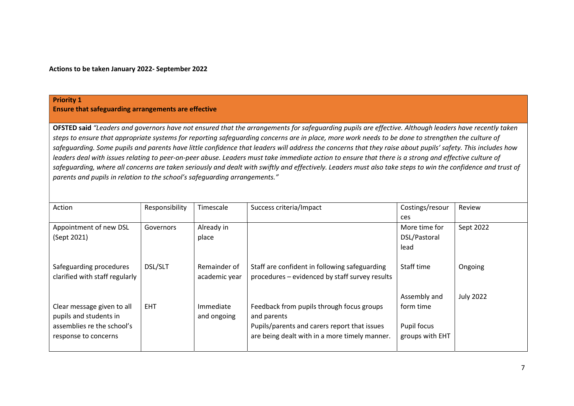Ensure that safeguarding arrangements are effective

OFSTED said "Leaders and governors have not ensured that the arrangements for safeguarding pupils are effective. Although leaders have recently taken steps to ensure that appropriate systems for reporting safeguarding concerns are in place, more work needs to be done to strengthen the culture of safeguarding. Some pupils and parents have little confidence that leaders will address the concerns that they raise about pupils' safety. This includes how leaders deal with issues relating to peer-on-peer abuse. Leaders must take immediate action to ensure that there is a strong and effective culture of safeguarding, where all concerns are taken seriously and dealt with swiftly and effectively. Leaders must also take steps to win the confidence and trust of parents and pupils in relation to the school's safeguarding arrangements."

| Action                         | Responsibility | Timescale     | Success criteria/Impact                        | Costings/resour | Review           |
|--------------------------------|----------------|---------------|------------------------------------------------|-----------------|------------------|
|                                |                |               |                                                | ces             |                  |
| Appointment of new DSL         | Governors      | Already in    |                                                | More time for   | Sept 2022        |
| (Sept 2021)                    |                | place         |                                                | DSL/Pastoral    |                  |
|                                |                |               |                                                | lead            |                  |
|                                |                |               |                                                |                 |                  |
| Safeguarding procedures        | <b>DSL/SLT</b> | Remainder of  | Staff are confident in following safeguarding  | Staff time      | Ongoing          |
| clarified with staff regularly |                | academic year | procedures - evidenced by staff survey results |                 |                  |
|                                |                |               |                                                |                 |                  |
|                                |                |               |                                                | Assembly and    | <b>July 2022</b> |
| Clear message given to all     | <b>EHT</b>     | Immediate     | Feedback from pupils through focus groups      | form time       |                  |
| pupils and students in         |                | and ongoing   | and parents                                    |                 |                  |
| assemblies re the school's     |                |               | Pupils/parents and carers report that issues   | Pupil focus     |                  |
| response to concerns           |                |               | are being dealt with in a more timely manner.  | groups with EHT |                  |
|                                |                |               |                                                |                 |                  |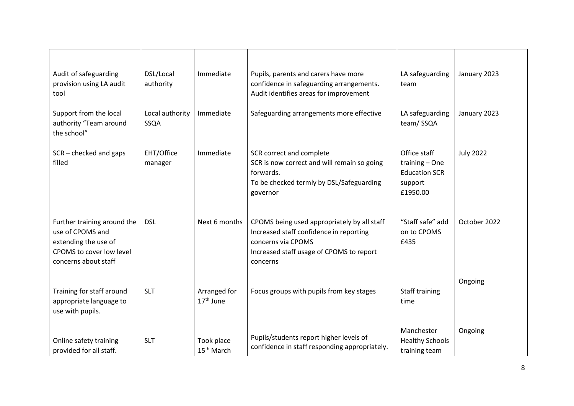| Audit of safeguarding<br>provision using LA audit<br>tool                                                                   | DSL/Local<br>authority  | Immediate                            | Pupils, parents and carers have more<br>confidence in safeguarding arrangements.<br>Audit identifies areas for improvement                                           | LA safeguarding<br>team                                                       | January 2023     |
|-----------------------------------------------------------------------------------------------------------------------------|-------------------------|--------------------------------------|----------------------------------------------------------------------------------------------------------------------------------------------------------------------|-------------------------------------------------------------------------------|------------------|
| Support from the local<br>authority "Team around<br>the school"                                                             | Local authority<br>SSQA | Immediate                            | Safeguarding arrangements more effective                                                                                                                             | LA safeguarding<br>team/SSQA                                                  | January 2023     |
| SCR-checked and gaps<br>filled                                                                                              | EHT/Office<br>manager   | Immediate                            | SCR correct and complete<br>SCR is now correct and will remain so going<br>forwards.<br>To be checked termly by DSL/Safeguarding<br>governor                         | Office staff<br>training - One<br><b>Education SCR</b><br>support<br>£1950.00 | <b>July 2022</b> |
| Further training around the<br>use of CPOMS and<br>extending the use of<br>CPOMS to cover low level<br>concerns about staff | <b>DSL</b>              | Next 6 months                        | CPOMS being used appropriately by all staff<br>Increased staff confidence in reporting<br>concerns via CPOMS<br>Increased staff usage of CPOMS to report<br>concerns | "Staff safe" add<br>on to CPOMS<br>£435                                       | October 2022     |
| Training for staff around<br>appropriate language to<br>use with pupils.                                                    | <b>SLT</b>              | Arranged for<br>$17th$ June          | Focus groups with pupils from key stages                                                                                                                             | Staff training<br>time                                                        | Ongoing          |
| Online safety training<br>provided for all staff.                                                                           | <b>SLT</b>              | Took place<br>15 <sup>th</sup> March | Pupils/students report higher levels of<br>confidence in staff responding appropriately.                                                                             | Manchester<br><b>Healthy Schools</b><br>training team                         | Ongoing          |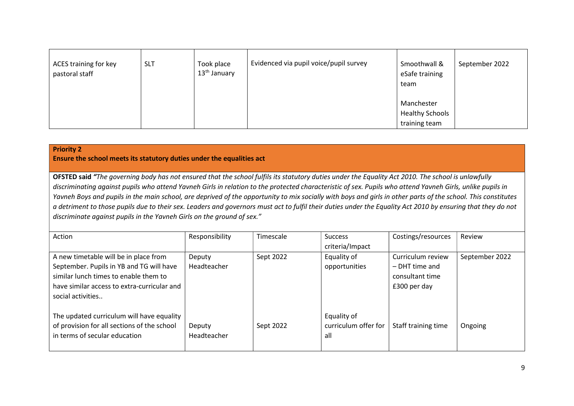| ACES training for key<br>pastoral staff | <b>SLT</b> | Took place<br>13 <sup>th</sup> January | Evidenced via pupil voice/pupil survey | Smoothwall &<br>eSafe training<br>team                | September 2022 |
|-----------------------------------------|------------|----------------------------------------|----------------------------------------|-------------------------------------------------------|----------------|
|                                         |            |                                        |                                        | Manchester<br><b>Healthy Schools</b><br>training team |                |

Ensure the school meets its statutory duties under the equalities act

OFSTED said "The governing body has not ensured that the school fulfils its statutory duties under the Equality Act 2010. The school is unlawfully discriminating against pupils who attend Yavneh Girls in relation to the protected characteristic of sex. Pupils who attend Yavneh Girls, unlike pupils in Yavneh Boys and pupils in the main school, are deprived of the opportunity to mix socially with boys and girls in other parts of the school. This constitutes a detriment to those pupils due to their sex. Leaders and governors must act to fulfil their duties under the Equality Act 2010 by ensuring that they do not discriminate against pupils in the Yavneh Girls on the ground of sex."

| Action                                      | Responsibility | Timescale | <b>Success</b>       | Costings/resources  | Review         |
|---------------------------------------------|----------------|-----------|----------------------|---------------------|----------------|
|                                             |                |           | criteria/Impact      |                     |                |
| A new timetable will be in place from       | Deputy         | Sept 2022 | Equality of          | Curriculum review   | September 2022 |
| September. Pupils in YB and TG will have    | Headteacher    |           | opportunities        | $-$ DHT time and    |                |
| similar lunch times to enable them to       |                |           |                      | consultant time     |                |
| have similar access to extra-curricular and |                |           |                      | £300 per day        |                |
| social activities                           |                |           |                      |                     |                |
|                                             |                |           |                      |                     |                |
| The updated curriculum will have equality   |                |           | Equality of          |                     |                |
| of provision for all sections of the school | Deputy         | Sept 2022 | curriculum offer for | Staff training time | Ongoing        |
| in terms of secular education               | Headteacher    |           | all                  |                     |                |
|                                             |                |           |                      |                     |                |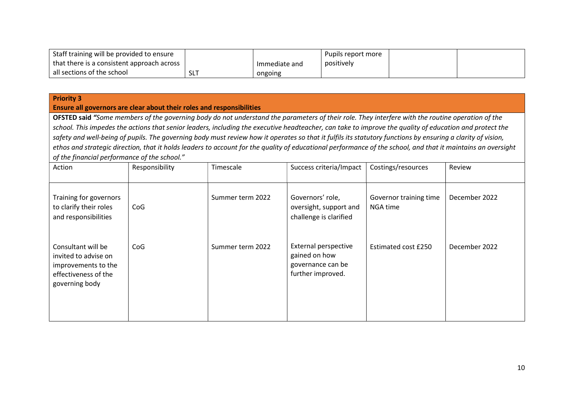| Staff training will be provided to ensure  |     |               | Pupils report more |  |
|--------------------------------------------|-----|---------------|--------------------|--|
| that there is a consistent approach across |     | Immediate and | positively         |  |
| all sections of the school                 | SL1 | ongoing       |                    |  |

#### Ensure all governors are clear about their roles and responsibilities

OFSTED said "Some members of the governing body do not understand the parameters of their role. They interfere with the routine operation of the school. This impedes the actions that senior leaders, including the executive headteacher, can take to improve the quality of education and protect the safety and well-being of pupils. The governing body must review how it operates so that it fulfils its statutory functions by ensuring a clarity of vision, ethos and strategic direction, that it holds leaders to account for the quality of educational performance of the school, and that it maintains an oversight of the financial performance of the school."

| Action                                                                                                      | Responsibility | Timescale        | Success criteria/Impact                                                                | Costings/resources                 | Review        |
|-------------------------------------------------------------------------------------------------------------|----------------|------------------|----------------------------------------------------------------------------------------|------------------------------------|---------------|
| Training for governors<br>to clarify their roles<br>and responsibilities                                    | CoG            | Summer term 2022 | Governors' role,<br>oversight, support and<br>challenge is clarified                   | Governor training time<br>NGA time | December 2022 |
| Consultant will be<br>invited to advise on<br>improvements to the<br>effectiveness of the<br>governing body | CoG            | Summer term 2022 | <b>External perspective</b><br>gained on how<br>governance can be<br>further improved. | Estimated cost £250                | December 2022 |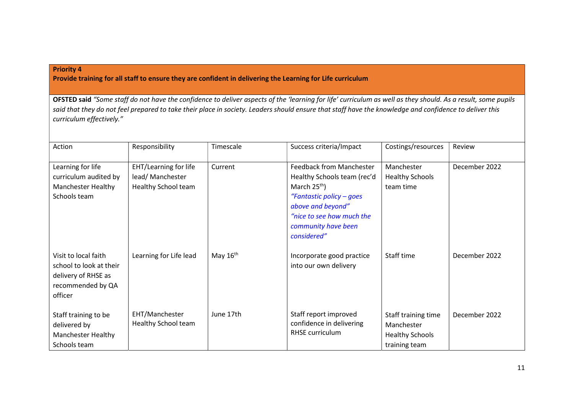Provide training for all staff to ensure they are confident in delivering the Learning for Life curriculum

OFSTED said "Some staff do not have the confidence to deliver aspects of the 'learning for life' curriculum as well as they should. As a result, some pupils said that they do not feel prepared to take their place in society. Leaders should ensure that staff have the knowledge and confidence to deliver this curriculum effectively."

| Action                                                                                                 | Responsibility                                                          | Timescale  | Success criteria/Impact                                                                                                                                                                              | Costings/resources                                                           | Review        |
|--------------------------------------------------------------------------------------------------------|-------------------------------------------------------------------------|------------|------------------------------------------------------------------------------------------------------------------------------------------------------------------------------------------------------|------------------------------------------------------------------------------|---------------|
| Learning for life<br>curriculum audited by<br><b>Manchester Healthy</b><br>Schools team                | <b>EHT/Learning for life</b><br>lead/ Manchester<br>Healthy School team | Current    | <b>Feedback from Manchester</b><br>Healthy Schools team (rec'd<br>March $25th$ )<br>"Fantastic policy – goes<br>above and beyond"<br>"nice to see how much the<br>community have been<br>considered" | Manchester<br><b>Healthy Schools</b><br>team time                            | December 2022 |
| Visit to local faith<br>school to look at their<br>delivery of RHSE as<br>recommended by QA<br>officer | Learning for Life lead                                                  | May $16th$ | Incorporate good practice<br>into our own delivery                                                                                                                                                   | Staff time                                                                   | December 2022 |
| Staff training to be<br>delivered by<br><b>Manchester Healthy</b><br>Schools team                      | EHT/Manchester<br>Healthy School team                                   | June 17th  | Staff report improved<br>confidence in delivering<br><b>RHSE</b> curriculum                                                                                                                          | Staff training time<br>Manchester<br><b>Healthy Schools</b><br>training team | December 2022 |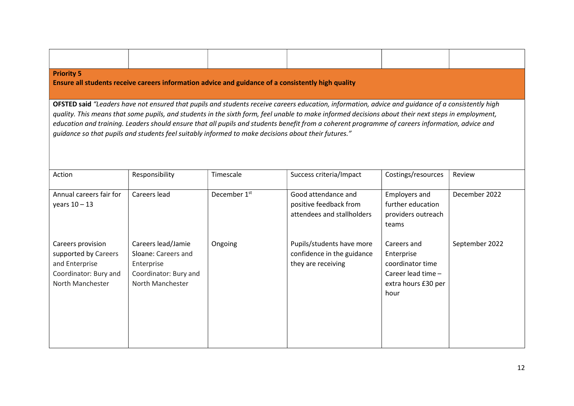| <b>Priority 5</b><br>Ensure all students receive careers information advice and guidance of a consistently high quality                                                                                                                                                                                                                                                                                                                                                                                                                                           |                                                                                                      |                          |                                                                               |                                                                                                    |                |  |  |
|-------------------------------------------------------------------------------------------------------------------------------------------------------------------------------------------------------------------------------------------------------------------------------------------------------------------------------------------------------------------------------------------------------------------------------------------------------------------------------------------------------------------------------------------------------------------|------------------------------------------------------------------------------------------------------|--------------------------|-------------------------------------------------------------------------------|----------------------------------------------------------------------------------------------------|----------------|--|--|
| OFSTED said "Leaders have not ensured that pupils and students receive careers education, information, advice and guidance of a consistently high<br>quality. This means that some pupils, and students in the sixth form, feel unable to make informed decisions about their next steps in employment,<br>education and training. Leaders should ensure that all pupils and students benefit from a coherent programme of careers information, advice and<br>guidance so that pupils and students feel suitably informed to make decisions about their futures." |                                                                                                      |                          |                                                                               |                                                                                                    |                |  |  |
| Action                                                                                                                                                                                                                                                                                                                                                                                                                                                                                                                                                            | Responsibility                                                                                       | Timescale                | Success criteria/Impact                                                       | Costings/resources                                                                                 | Review         |  |  |
| Annual careers fair for<br>years $10 - 13$                                                                                                                                                                                                                                                                                                                                                                                                                                                                                                                        | Careers lead                                                                                         | December 1 <sup>st</sup> | Good attendance and<br>positive feedback from<br>attendees and stallholders   | <b>Employers and</b><br>further education<br>providers outreach<br>teams                           | December 2022  |  |  |
| Careers provision<br>supported by Careers<br>and Enterprise<br>Coordinator: Bury and<br>North Manchester                                                                                                                                                                                                                                                                                                                                                                                                                                                          | Careers lead/Jamie<br>Sloane: Careers and<br>Enterprise<br>Coordinator: Bury and<br>North Manchester | Ongoing                  | Pupils/students have more<br>confidence in the guidance<br>they are receiving | Careers and<br>Enterprise<br>coordinator time<br>Career lead time -<br>extra hours £30 per<br>hour | September 2022 |  |  |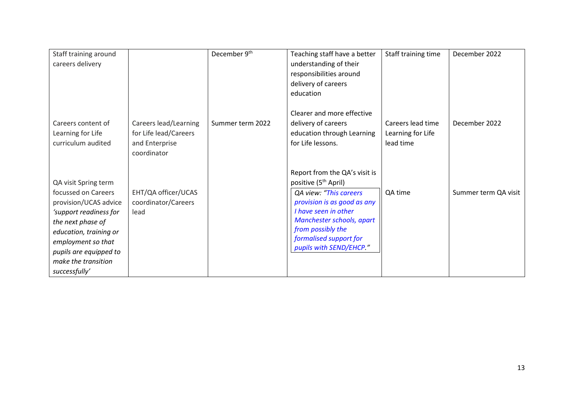| Staff training around  |                       | December 9th     | Teaching staff have a better                      | Staff training time | December 2022        |
|------------------------|-----------------------|------------------|---------------------------------------------------|---------------------|----------------------|
| careers delivery       |                       |                  | understanding of their                            |                     |                      |
|                        |                       |                  | responsibilities around                           |                     |                      |
|                        |                       |                  | delivery of careers                               |                     |                      |
|                        |                       |                  | education                                         |                     |                      |
|                        |                       |                  |                                                   |                     |                      |
|                        |                       |                  | Clearer and more effective                        |                     |                      |
| Careers content of     | Careers lead/Learning | Summer term 2022 | delivery of careers                               | Careers lead time   | December 2022        |
| Learning for Life      | for Life lead/Careers |                  | education through Learning                        | Learning for Life   |                      |
| curriculum audited     | and Enterprise        |                  | for Life lessons.                                 | lead time           |                      |
|                        | coordinator           |                  |                                                   |                     |                      |
|                        |                       |                  |                                                   |                     |                      |
|                        |                       |                  | Report from the QA's visit is                     |                     |                      |
| QA visit Spring term   |                       |                  | positive (5 <sup>th</sup> April)                  |                     |                      |
| focussed on Careers    | EHT/QA officer/UCAS   |                  | QA view: "This careers                            | QA time             | Summer term QA visit |
| provision/UCAS advice  | coordinator/Careers   |                  | provision is as good as any                       |                     |                      |
| 'support readiness for | lead                  |                  | I have seen in other                              |                     |                      |
| the next phase of      |                       |                  | Manchester schools, apart                         |                     |                      |
| education, training or |                       |                  | from possibly the                                 |                     |                      |
| employment so that     |                       |                  | formalised support for<br>pupils with SEND/EHCP." |                     |                      |
| pupils are equipped to |                       |                  |                                                   |                     |                      |
| make the transition    |                       |                  |                                                   |                     |                      |
| successfully'          |                       |                  |                                                   |                     |                      |